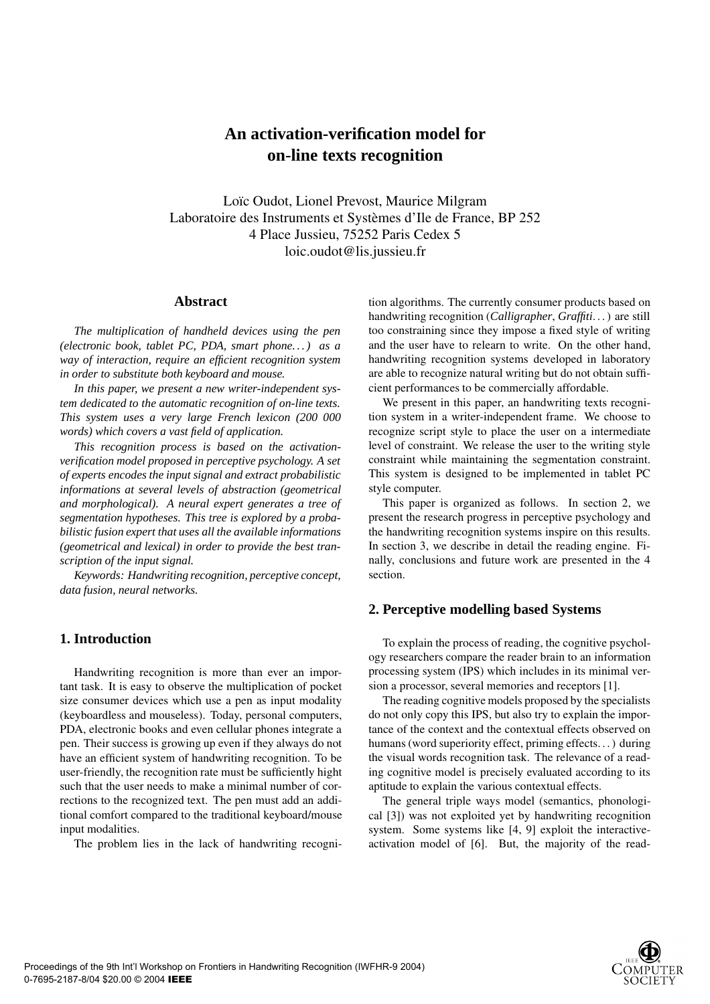# **An activation-verification model for on-line texts recognition**

Loïc Oudot, Lionel Prevost, Maurice Milgram Laboratoire des Instruments et Systèmes d'Ile de France, BP 252 4 Place Jussieu, 75252 Paris Cedex 5 loic.oudot@lis.jussieu.fr

## **Abstract**

*The multiplication of handheld devices using the pen (electronic book, tablet PC, PDA, smart phone. . . ) as a way of interaction, require an efficient recognition system in order to substitute both keyboard and mouse.*

*In this paper, we present a new writer-independent system dedicated to the automatic recognition of on-line texts. This system uses a very large French lexicon (200 000 words) which covers a vast field of application.*

*This recognition process is based on the activationverification model proposed in perceptive psychology. A set of experts encodes the input signal and extract probabilistic informations at several levels of abstraction (geometrical and morphological). A neural expert generates a tree of segmentation hypotheses. This tree is explored by a probabilistic fusion expert that uses all the available informations (geometrical and lexical) in order to provide the best transcription of the input signal.*

*Keywords: Handwriting recognition, perceptive concept, data fusion, neural networks.*

## **1. Introduction**

Handwriting recognition is more than ever an important task. It is easy to observe the multiplication of pocket size consumer devices which use a pen as input modality (keyboardless and mouseless). Today, personal computers, PDA, electronic books and even cellular phones integrate a pen. Their success is growing up even if they always do not have an efficient system of handwriting recognition. To be user-friendly, the recognition rate must be sufficiently hight such that the user needs to make a minimal number of corrections to the recognized text. The pen must add an additional comfort compared to the traditional keyboard/mouse input modalities.

The problem lies in the lack of handwriting recogni-

tion algorithms. The currently consumer products based on handwriting recognition (*Calligrapher*, *Graffiti*. . . ) are still too constraining since they impose a fixed style of writing and the user have to relearn to write. On the other hand, handwriting recognition systems developed in laboratory are able to recognize natural writing but do not obtain sufficient performances to be commercially affordable.

We present in this paper, an handwriting texts recognition system in a writer-independent frame. We choose to recognize script style to place the user on a intermediate level of constraint. We release the user to the writing style constraint while maintaining the segmentation constraint. This system is designed to be implemented in tablet PC style computer.

This paper is organized as follows. In section 2, we present the research progress in perceptive psychology and the handwriting recognition systems inspire on this results. In section 3, we describe in detail the reading engine. Finally, conclusions and future work are presented in the 4 section.

## **2. Perceptive modelling based Systems**

To explain the process of reading, the cognitive psychology researchers compare the reader brain to an information processing system (IPS) which includes in its minimal version a processor, several memories and receptors [1].

The reading cognitive models proposed by the specialists do not only copy this IPS, but also try to explain the importance of the context and the contextual effects observed on humans (word superiority effect, priming effects. . . ) during the visual words recognition task. The relevance of a reading cognitive model is precisely evaluated according to its aptitude to explain the various contextual effects.

The general triple ways model (semantics, phonological [3]) was not exploited yet by handwriting recognition system. Some systems like [4, 9] exploit the interactiveactivation model of [6]. But, the majority of the read-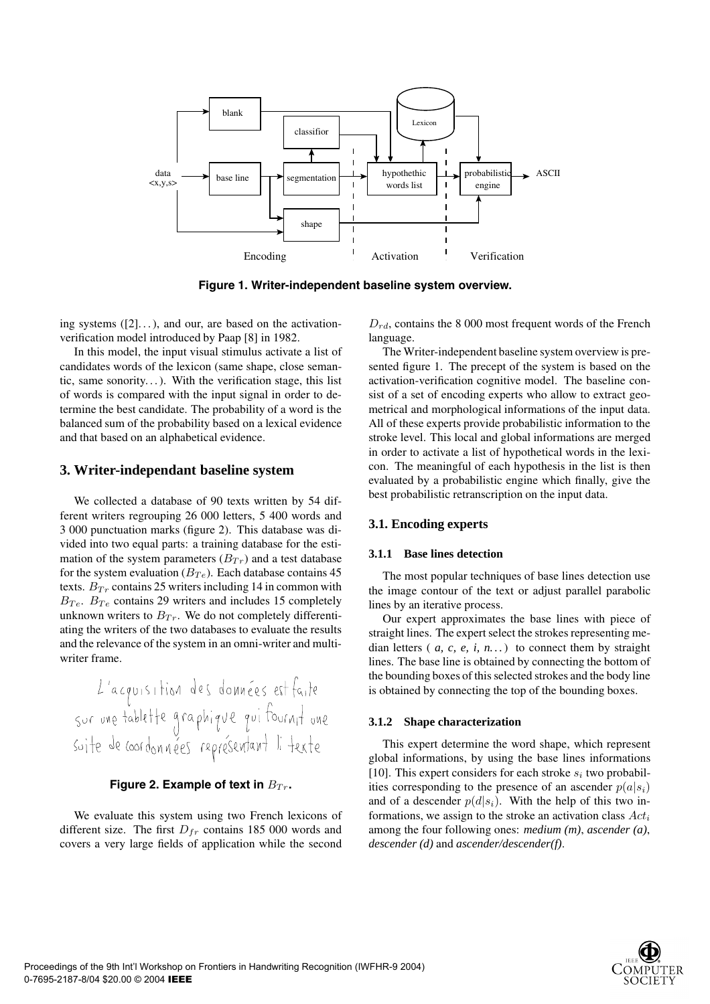

**Figure 1. Writer-independent baseline system overview.**

ing systems  $(2]...$ , and our, are based on the activationverification model introduced by Paap [8] in 1982.

In this model, the input visual stimulus activate a list of candidates words of the lexicon (same shape, close semantic, same sonority...). With the verification stage, this list of words is compared with the input signal in order to determine the best candidate. The probability of a word is the balanced sum of the probability based on a lexical evidence and that based on an alphabetical evidence.

## **3. Writer-independant baseline system**

We collected a database of 90 texts written by 54 different writers regrouping 26 000 letters, 5 400 words and 3 000 punctuation marks (figure 2). This database was divided into two equal parts: a training database for the estimation of the system parameters  $(B_T_r)$  and a test database for the system evaluation  $(B_{Te})$ . Each database contains 45 texts.  $B_T$  *r* contains 25 writers including 14 in common with  $B_{Te}$ .  $B_{Te}$  contains 29 writers and includes 15 completely unknown writers to  $B_{Tr}$ . We do not completely differentiating the writers of the two databases to evaluate the results and the relevance of the system in an omni-writer and multiwriter frame.

## **Figure 2. Example of text in**  $B_T$ .

We evaluate this system using two French lexicons of different size. The first  $D_f$  contains 185 000 words and covers a very large fields of application while the second

 $D_{rd}$ , contains the 8 000 most frequent words of the French language.

The Writer-independent baseline system overview is presented figure 1. The precept of the system is based on the activation-verification cognitive model. The baseline consist of a set of encoding experts who allow to extract geometrical and morphological informations of the input data. All of these experts provide probabilistic information to the stroke level. This local and global informations are merged in order to activate a list of hypothetical words in the lexicon. The meaningful of each hypothesis in the list is then evaluated by a probabilistic engine which finally, give the best probabilistic retranscription on the input data.

## **3.1. Encoding experts**

#### **3.1.1 Base lines detection**

The most popular techniques of base lines detection use the image contour of the text or adjust parallel parabolic lines by an iterative process.

Our expert approximates the base lines with piece of straight lines. The expert select the strokes representing median letters ( *a, c, e, i, n. . .*) to connect them by straight lines. The base line is obtained by connecting the bottom of the bounding boxes of this selected strokes and the body line is obtained by connecting the top of the bounding boxes.

#### **3.1.2 Shape characterization**

This expert determine the word shape, which represent global informations, by using the base lines informations [10]. This expert considers for each stroke  $s_i$  two probabilities corresponding to the presence of an ascender  $p(a|s_i)$ and of a descender  $p(d|s_i)$ . With the help of this two informations, we assign to the stroke an activation class *Act<sup>i</sup>* among the four following ones: *medium (m)*, *ascender (a)*, *descender (d)* and *ascender/descender(f)*.

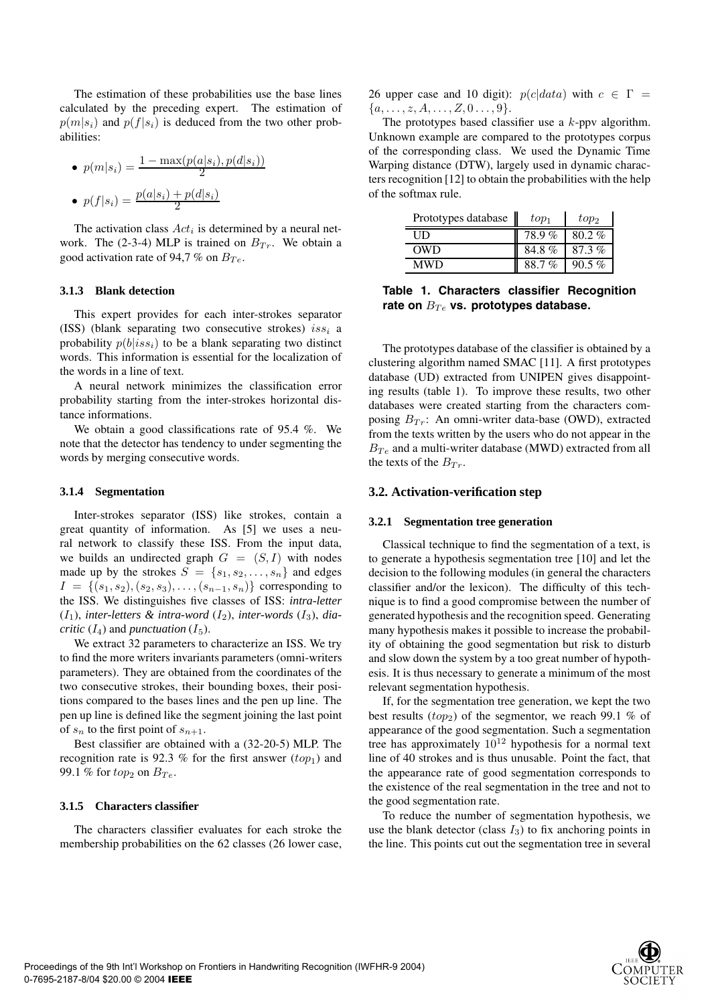The estimation of these probabilities use the base lines calculated by the preceding expert. The estimation of  $p(m|s_i)$  and  $p(f|s_i)$  is deduced from the two other probabilities:

• 
$$
p(m|s_i) = \frac{1 - \max(p(a|s_i), p(d|s_i))}{2}
$$
  
\n•  $p(f|s_i) = \frac{p(a|s_i) + p(d|s_i)}{2}$ 

The activation class *Act<sup>i</sup>* is determined by a neural network. The (2-3-4) MLP is trained on  $B_{Tr}$ . We obtain a good activation rate of 94,7 % on  $B_{Te}$ .

#### **3.1.3 Blank detection**

This expert provides for each inter-strokes separator (ISS) (blank separating two consecutive strokes) *iss<sup>i</sup>* a probability  $p(b|iss_i)$  to be a blank separating two distinct words. This information is essential for the localization of the words in a line of text.

A neural network minimizes the classification error probability starting from the inter-strokes horizontal distance informations.

We obtain a good classifications rate of 95.4 %. We note that the detector has tendency to under segmenting the words by merging consecutive words.

#### **3.1.4 Segmentation**

Inter-strokes separator (ISS) like strokes, contain a great quantity of information. As [5] we uses a neural network to classify these ISS. From the input data, we builds an undirected graph  $G = (S, I)$  with nodes made up by the strokes  $S = \{s_1, s_2, \ldots, s_n\}$  and edges  $I = \{(s_1, s_2), (s_2, s_3), \ldots, (s_{n-1}, s_n)\}$  corresponding to the ISS. We distinguishes five classes of ISS: *intra-letter*  $(I_1)$ , *inter-letters* & *intra-word*  $(I_2)$ *, inter-words*  $(I_3)$ *, diacritic* ( $I_4$ ) and *punctuation* ( $I_5$ ).

We extract 32 parameters to characterize an ISS. We try to find the more writers invariants parameters (omni-writers parameters). They are obtained from the coordinates of the two consecutive strokes, their bounding boxes, their positions compared to the bases lines and the pen up line. The pen up line is defined like the segment joining the last point of  $s_n$  to the first point of  $s_{n+1}$ .

Best classifier are obtained with a (32-20-5) MLP. The recognition rate is 92.3 % for the first answer  $(top_1)$  and 99.1 % for  $top_2$  on  $B_T$ <sub>e</sub>.

### **3.1.5 Characters classifier**

The characters classifier evaluates for each stroke the membership probabilities on the 62 classes (26 lower case, 26 upper case and 10 digit):  $p(c|data)$  with  $c \in \Gamma$  =  $\{a, \ldots, z, A, \ldots, Z, 0 \ldots, 9\}.$ 

The prototypes based classifier use a *k*-ppv algorithm. Unknown example are compared to the prototypes corpus of the corresponding class. We used the Dynamic Time Warping distance (DTW), largely used in dynamic characters recognition [12] to obtain the probabilities with the help of the softmax rule.

| Prototypes database | $top_1$         | $top_2$   |
|---------------------|-----------------|-----------|
|                     | 78.9%           | $80.2 \%$ |
| OWD                 | 84.8%           | 87.3%     |
| <b>MWD</b>          | $\mathcal{O}_C$ | $90.5\%$  |

**Table 1. Characters classifier Recognition** rate on  $B_{Te}$  vs. prototypes database.

The prototypes database of the classifier is obtained by a clustering algorithm named SMAC [11]. A first prototypes database (UD) extracted from UNIPEN gives disappointing results (table 1). To improve these results, two other databases were created starting from the characters composing  $B_{Tr}$ : An omni-writer data-base (OWD), extracted from the texts written by the users who do not appear in the *BT e* and a multi-writer database (MWD) extracted from all the texts of the  $B_T$ .

## **3.2. Activation-verification step**

#### **3.2.1 Segmentation tree generation**

Classical technique to find the segmentation of a text, is to generate a hypothesis segmentation tree [10] and let the decision to the following modules (in general the characters classifier and/or the lexicon). The difficulty of this technique is to find a good compromise between the number of generated hypothesis and the recognition speed. Generating many hypothesis makes it possible to increase the probability of obtaining the good segmentation but risk to disturb and slow down the system by a too great number of hypothesis. It is thus necessary to generate a minimum of the most relevant segmentation hypothesis.

If, for the segmentation tree generation, we kept the two best results (*top*2) of the segmentor, we reach 99.1 % of appearance of the good segmentation. Such a segmentation tree has approximately  $10^{12}$  hypothesis for a normal text line of 40 strokes and is thus unusable. Point the fact, that the appearance rate of good segmentation corresponds to the existence of the real segmentation in the tree and not to the good segmentation rate.

To reduce the number of segmentation hypothesis, we use the blank detector (class  $I_3$ ) to fix anchoring points in the line. This points cut out the segmentation tree in several

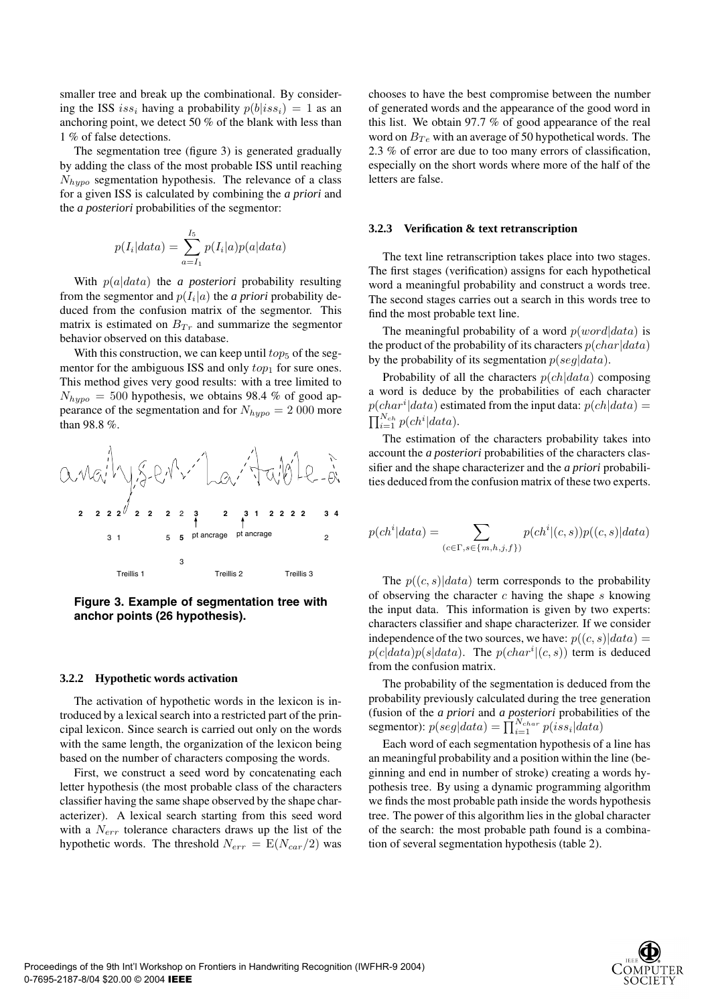smaller tree and break up the combinational. By considering the ISS *iss<sub>i</sub>* having a probability  $p(b|iss_i) = 1$  as an anchoring point, we detect 50 % of the blank with less than 1 % of false detections.

The segmentation tree (figure 3) is generated gradually by adding the class of the most probable ISS until reaching *Nhypo* segmentation hypothesis. The relevance of a class for a given ISS is calculated by combining the *a priori* and the *a posteriori* probabilities of the segmentor:

$$
p(I_i|data) = \sum_{a=I_1}^{I_5} p(I_i|a)p(a|data)
$$

With *p*(*a*|*data*) the *a posteriori* probability resulting from the segmentor and  $p(I_i|a)$  the *a priori* probability deduced from the confusion matrix of the segmentor. This matrix is estimated on  $B_{Tr}$  and summarize the segmentor behavior observed on this database.

With this construction, we can keep until  $top_5$  of the segmentor for the ambiguous ISS and only  $top_1$  for sure ones. This method gives very good results: with a tree limited to  $N_{hupo} = 500$  hypothesis, we obtains 98.4 % of good appearance of the segmentation and for  $N_{hypo} = 2000$  more than 98.8 %.



**Figure 3. Example of segmentation tree with anchor points (26 hypothesis).**

#### **3.2.2 Hypothetic words activation**

The activation of hypothetic words in the lexicon is introduced by a lexical search into a restricted part of the principal lexicon. Since search is carried out only on the words with the same length, the organization of the lexicon being based on the number of characters composing the words.

First, we construct a seed word by concatenating each letter hypothesis (the most probable class of the characters classifier having the same shape observed by the shape characterizer). A lexical search starting from this seed word with a *Nerr* tolerance characters draws up the list of the hypothetic words. The threshold  $N_{err} = E(N_{car}/2)$  was

chooses to have the best compromise between the number of generated words and the appearance of the good word in this list. We obtain 97.7 % of good appearance of the real word on  $B_{Te}$  with an average of 50 hypothetical words. The 2.3 % of error are due to too many errors of classification, especially on the short words where more of the half of the letters are false.

#### **3.2.3 Verification & text retranscription**

The text line retranscription takes place into two stages. The first stages (verification) assigns for each hypothetical word a meaningful probability and construct a words tree. The second stages carries out a search in this words tree to find the most probable text line.

The meaningful probability of a word *p*(*word*|*data*) is the product of the probability of its characters *p*(*char*|*data*) by the probability of its segmentation *p*(*seg*|*data*).

Probability of all the characters *p*(*ch*|*data*) composing a word is deduce by the probabilities of each character  $p(char<sup>i</sup>|data)$  estimated from the input data:  $p(ch|data)$  $\prod_{i=1}^{N_{ch}} p(ch^i | data).$ 

The estimation of the characters probability takes into account the *a posteriori* probabilities of the characters classifier and the shape characterizer and the *a priori* probabilities deduced from the confusion matrix of these two experts.

$$
p(chi|data) = \sum_{(c \in \Gamma, s \in \{m, h, j, f\})} p(chi|(c, s))p((c, s)|data)
$$

The  $p((c, s)|data)$  term corresponds to the probability of observing the character *c* having the shape *s* knowing the input data. This information is given by two experts: characters classifier and shape characterizer. If we consider independence of the two sources, we have:  $p((c, s)|data) =$  $p(c|data)p(s|data)$ . The  $p(char^i|(c, s))$  term is deduced from the confusion matrix.

The probability of the segmentation is deduced from the probability previously calculated during the tree generation (fusion of the *a priori* and *a posteriori* probabilities of the segmentor):  $p(seg|data) = \prod_{i=1}^{N_{char}} p(issi|data)$ 

Each word of each segmentation hypothesis of a line has an meaningful probability and a position within the line (beginning and end in number of stroke) creating a words hypothesis tree. By using a dynamic programming algorithm we finds the most probable path inside the words hypothesis tree. The power of this algorithm lies in the global character of the search: the most probable path found is a combination of several segmentation hypothesis (table 2).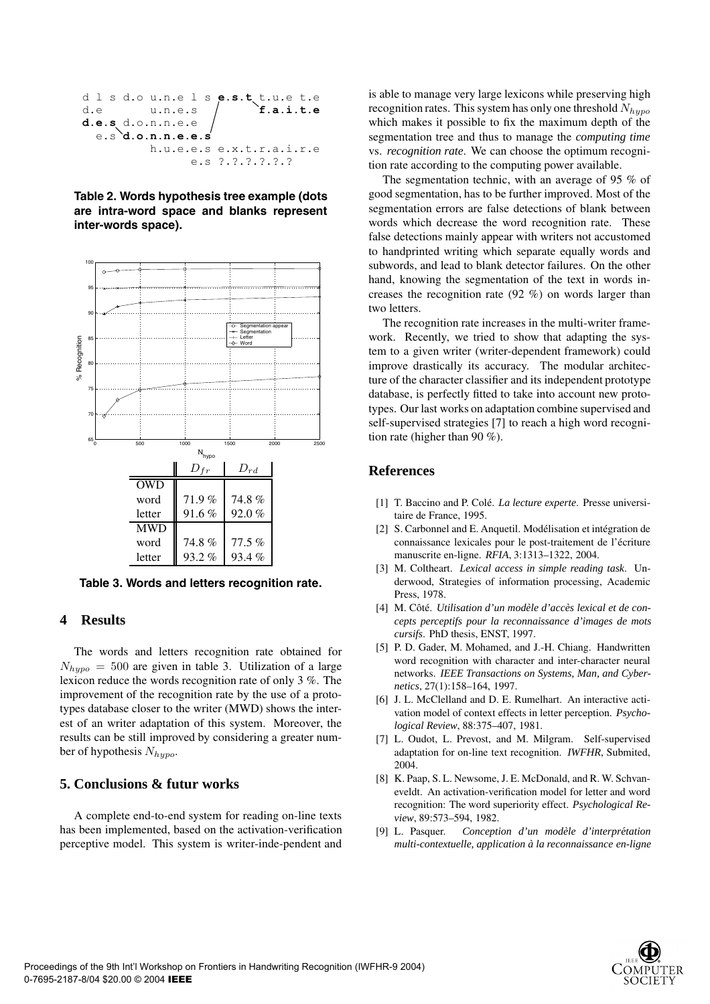d l s d.o u.n.e l s **e.s.t** t.u.e t.e d.e u.n.e.s **f.a.i.t.e d.e.s** d.o.n.n.e.e e.s **d.o.n.n.e.e.s** h.u.e.e.s e.x.t.r.a.i.r.e e.s ?.?.?.?.?.?

**Table 2. Words hypothesis tree example (dots are intra-word space and blanks represent inter-words space).**



**Table 3. Words and letters recognition rate.**

## **4 Results**

The words and letters recognition rate obtained for  $N_{hupo} = 500$  are given in table 3. Utilization of a large lexicon reduce the words recognition rate of only 3 %. The improvement of the recognition rate by the use of a prototypes database closer to the writer (MWD) shows the interest of an writer adaptation of this system. Moreover, the results can be still improved by considering a greater number of hypothesis *Nhypo*.

# **5. Conclusions & futur works**

A complete end-to-end system for reading on-line texts has been implemented, based on the activation-verification perceptive model. This system is writer-inde-pendent and is able to manage very large lexicons while preserving high recognition rates. This system has only one threshold *Nhypo* which makes it possible to fix the maximum depth of the segmentation tree and thus to manage the *computing time* vs. *recognition rate*. We can choose the optimum recognition rate according to the computing power available.

The segmentation technic, with an average of 95 % of good segmentation, has to be further improved. Most of the segmentation errors are false detections of blank between words which decrease the word recognition rate. These false detections mainly appear with writers not accustomed to handprinted writing which separate equally words and subwords, and lead to blank detector failures. On the other hand, knowing the segmentation of the text in words increases the recognition rate (92 %) on words larger than two letters.

The recognition rate increases in the multi-writer framework. Recently, we tried to show that adapting the system to a given writer (writer-dependent framework) could improve drastically its accuracy. The modular architecture of the character classifier and its independent prototype database, is perfectly fitted to take into account new prototypes. Our last works on adaptation combine supervised and self-supervised strategies [7] to reach a high word recognition rate (higher than 90 %).

# **References**

- [1] T. Baccino and P. Colé. *La lecture experte*. Presse universitaire de France, 1995.
- [2] S. Carbonnel and E. Anquetil. Modélisation et intégration de connaissance lexicales pour le post-traitement de l'écriture manuscrite en-ligne. *RFIA*, 3:1313–1322, 2004.
- [3] M. Coltheart. *Lexical access in simple reading task*. Underwood, Strategies of information processing, Academic Press, 1978.
- [4] M. Côté. *Utilisation d'un modèle d'accès lexical et de concepts perceptifs pour la reconnaissance d'images de mots cursifs*. PhD thesis, ENST, 1997.
- [5] P. D. Gader, M. Mohamed, and J.-H. Chiang. Handwritten word recognition with character and inter-character neural networks. *IEEE Transactions on Systems, Man, and Cybernetics*, 27(1):158–164, 1997.
- [6] J. L. McClelland and D. E. Rumelhart. An interactive activation model of context effects in letter perception. *Psychological Review*, 88:375–407, 1981.
- [7] L. Oudot, L. Prevost, and M. Milgram. Self-supervised adaptation for on-line text recognition. *IWFHR*, Submited, 2004.
- [8] K. Paap, S. L. Newsome, J. E. McDonald, and R. W. Schvaneveldt. An activation-verification model for letter and word recognition: The word superiority effect. *Psychological Review*, 89:573–594, 1982.
- [9] L. Pasquer. *Conception d'un modèle d'interprétation multi-contextuelle, application `a la reconnaissance en-ligne*